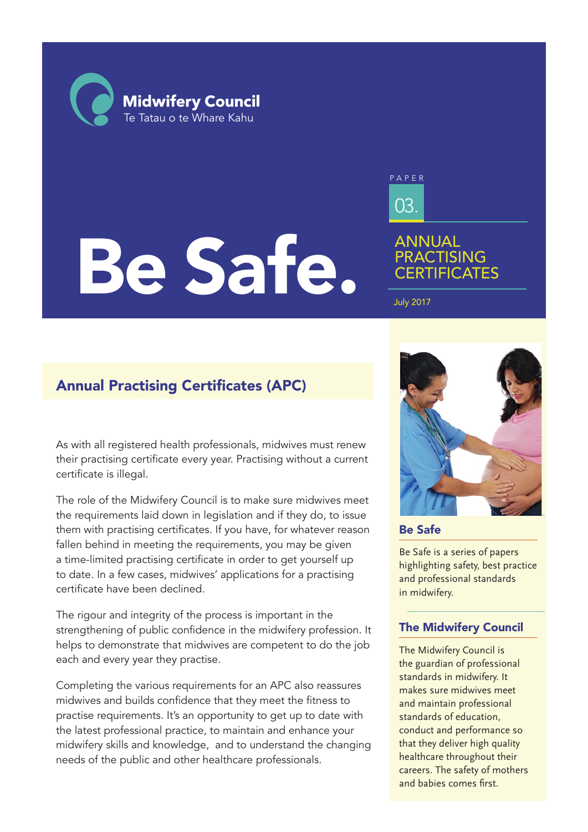**Midwifery Council** Te Tatau o te Whare Kahu

# Be Safe.

03. PAPER

# ANNUAL **PRACTISING CERTIFICATES**

July 2017

# Annual Practising Certificates (APC)

As with all registered health professionals, midwives must renew their practising certificate every year. Practising without a current certificate is illegal.

The role of the Midwifery Council is to make sure midwives meet the requirements laid down in legislation and if they do, to issue them with practising certificates. If you have, for whatever reason fallen behind in meeting the requirements, you may be given a time-limited practising certificate in order to get yourself up to date. In a few cases, midwives' applications for a practising certificate have been declined.

The rigour and integrity of the process is important in the strengthening of public confidence in the midwifery profession. It helps to demonstrate that midwives are competent to do the job each and every year they practise.

Completing the various requirements for an APC also reassures midwives and builds confidence that they meet the fitness to practise requirements. It's an opportunity to get up to date with the latest professional practice, to maintain and enhance your midwifery skills and knowledge, and to understand the changing needs of the public and other healthcare professionals.



Be Safe

Be Safe is a series of papers highlighting safety, best practice and professional standards in midwifery.

### The Midwifery Council

The Midwifery Council is the guardian of professional standards in midwifery. It makes sure midwives meet and maintain professional standards of education, conduct and performance so that they deliver high quality healthcare throughout their careers. The safety of mothers and babies comes first.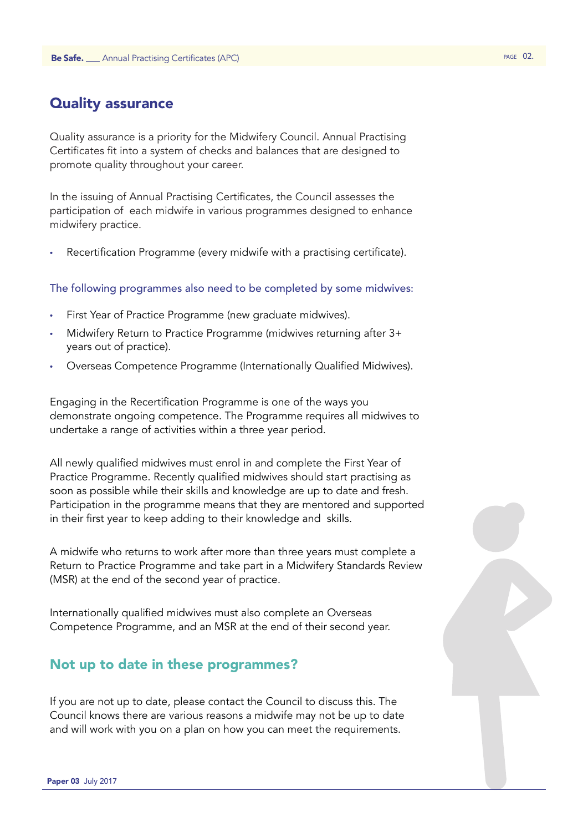# Quality assurance

Quality assurance is a priority for the Midwifery Council. Annual Practising Certificates fit into a system of checks and balances that are designed to promote quality throughout your career.

In the issuing of Annual Practising Certificates, the Council assesses the participation of each midwife in various programmes designed to enhance midwifery practice.

Recertification Programme (every midwife with a practising certificate).

### The following programmes also need to be completed by some midwives:

- First Year of Practice Programme (new graduate midwives).
- Midwifery Return to Practice Programme (midwives returning after 3+ years out of practice).
- Overseas Competence Programme (Internationally Qualified Midwives).

Engaging in the Recertification Programme is one of the ways you demonstrate ongoing competence. The Programme requires all midwives to undertake a range of activities within a three year period.

All newly qualified midwives must enrol in and complete the First Year of Practice Programme. Recently qualified midwives should start practising as soon as possible while their skills and knowledge are up to date and fresh. Participation in the programme means that they are mentored and supported in their first year to keep adding to their knowledge and skills.

A midwife who returns to work after more than three years must complete a Return to Practice Programme and take part in a Midwifery Standards Review (MSR) at the end of the second year of practice.

Internationally qualified midwives must also complete an Overseas Competence Programme, and an MSR at the end of their second year.

### Not up to date in these programmes?

If you are not up to date, please contact the Council to discuss this. The Council knows there are various reasons a midwife may not be up to date and will work with you on a plan on how you can meet the requirements.

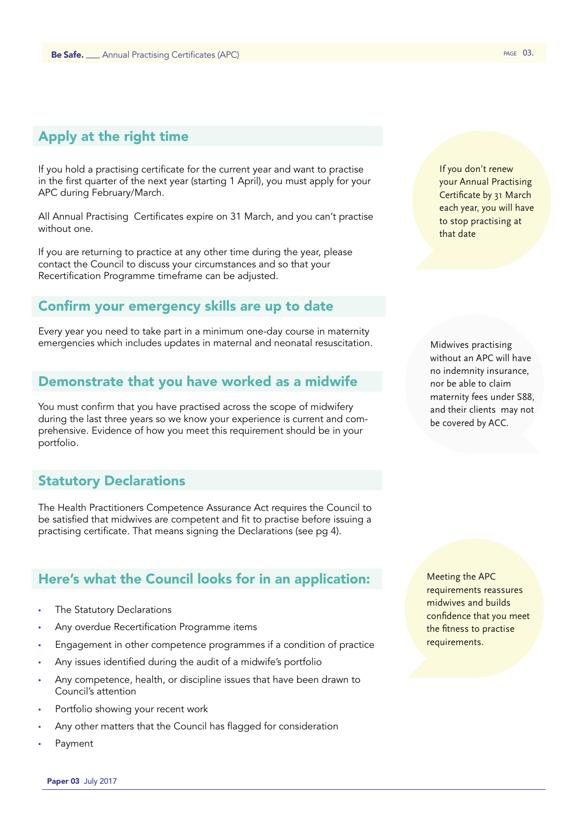# Apply at the right time

If you hold a practising certificate for the current year and want to practise in the first quarter of the next year (starting 1 April), you must apply for your APC during February/March.

All Annual Practising Certificates expire on 31 March, and you can't practise without one.

If you are returning to practice at any other time during the year, please contact the Council to discuss your circumstances and so that your Recertification Programme timeframe can be adjusted.

### Confirm your emergency skills are up to date

Every year you need to take part in a minimum one-day course in maternity emergencies which includes updates in maternal and neonatal resuscitation.

### Demonstrate that you have worked as a midwife

You must confirm that you have practised across the scope of midwifery during the last three years so we know your experience is current and comprehensive. Evidence of how you meet this requirement should be in your portfolio.

### Statutory Declarations

The Health Practitioners Competence Assurance Act requires the Council to be satisfied that midwives are competent and fit to practise before issuing a practising certificate. That means signing the Declarations (see pg 4).

### Here's what the Council looks for in an application:

- The Statutory Declarations
- Any overdue Recertification Programme items
- Engagement in other competence programmes if a condition of practice
- Any issues identified during the audit of a midwife's portfolio
- Any competence, health, or discipline issues that have been drawn to Council's attention
- Portfolio showing your recent work
- Any other matters that the Council has flagged for consideration
- **Payment**

If you don't renew your Annual Practising Certificate by 31 March each year, you will have to stop practising at that date

Midwives practising without an APC will have no indemnity insurance, nor be able to claim maternity fees under S88, and their clients may not be covered by ACC.

Meeting the APC requirements reassures midwives and builds confidence that you meet the fitness to practise requirements.